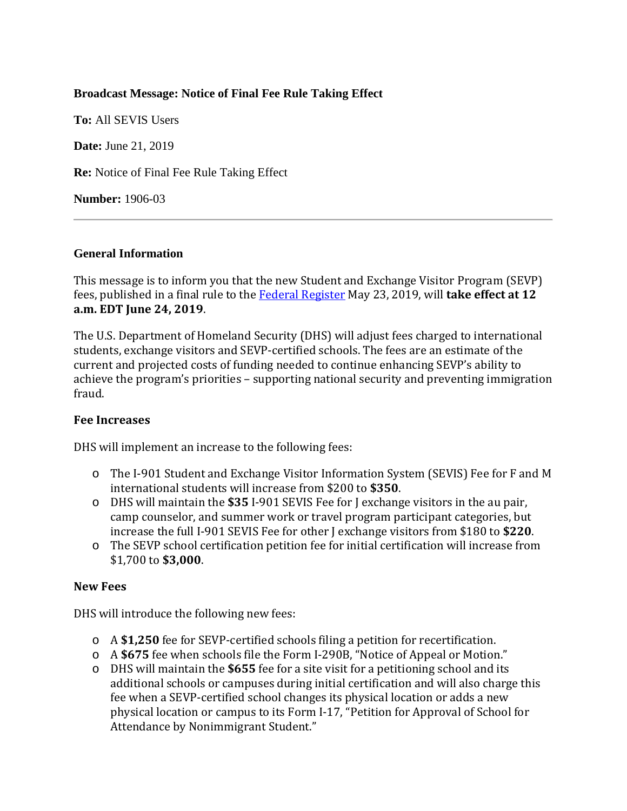# **Broadcast Message: Notice of Final Fee Rule Taking Effect**

**To:** All SEVIS Users **Date:** June 21, 2019 **Re:** Notice of Final Fee Rule Taking Effect **Number:** 1906-03

# **General Information**

This message is to inform you that the new Student and Exchange Visitor Program (SEVP) fees, published in a final rule to the [Federal Register](https://www.federalregister.gov/documents/2019/05/23/2019-10884/adjusting-program-fees-for-the-student-and-exchange-visitor-program) May 23, 2019, will **take effect at 12 a.m. EDT June 24, 2019**.

The U.S. Department of Homeland Security (DHS) will adjust fees charged to international students, exchange visitors and SEVP-certified schools. The fees are an estimate of the current and projected costs of funding needed to continue enhancing SEVP's ability to achieve the program's priorities – supporting national security and preventing immigration fraud.

# **Fee Increases**

DHS will implement an increase to the following fees:

- o The I-901 Student and Exchange Visitor Information System (SEVIS) Fee for F and M international students will increase from \$200 to **\$350**.
- o DHS will maintain the **\$35** I-901 SEVIS Fee for J exchange visitors in the au pair, camp counselor, and summer work or travel program participant categories, but increase the full I-901 SEVIS Fee for other J exchange visitors from \$180 to **\$220**.
- o The SEVP school certification petition fee for initial certification will increase from \$1,700 to **\$3,000**.

## **New Fees**

DHS will introduce the following new fees:

- o A **\$1,250** fee for SEVP-certified schools filing a petition for recertification.
- o A **\$675** fee when schools file the Form I-290B, "Notice of Appeal or Motion."
- o DHS will maintain the **\$655** fee for a site visit for a petitioning school and its additional schools or campuses during initial certification and will also charge this fee when a SEVP-certified school changes its physical location or adds a new physical location or campus to its Form I-17, "Petition for Approval of School for Attendance by Nonimmigrant Student."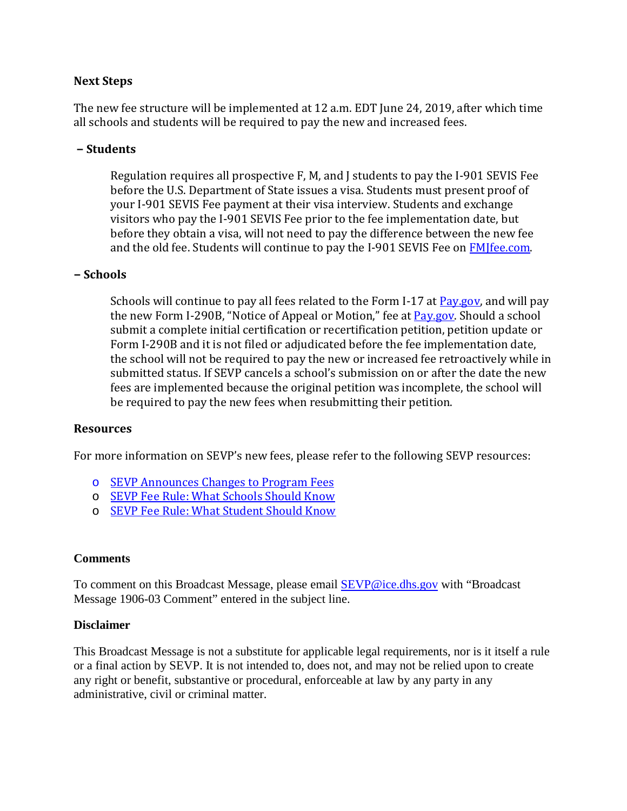# **Next Steps**

The new fee structure will be implemented at 12 a.m. EDT June 24, 2019, after which time all schools and students will be required to pay the new and increased fees.

## **− Students**

Regulation requires all prospective F, M, and J students to pay the I-901 SEVIS Fee before the U.S. Department of State issues a visa. Students must present proof of your I-901 SEVIS Fee payment at their visa interview. Students and exchange visitors who pay the I-901 SEVIS Fee prior to the fee implementation date, but before they obtain a visa, will not need to pay the difference between the new fee and the old fee. Students will continue to pay the I-901 SEVIS Fee on **FMIfee.com**.

## **− Schools**

Schools will continue to pay all fees related to the Form I-17 at **Pay.gov**, and will pay the new Form I-290B, "Notice of Appeal or Motion," fee at [Pay.gov.](https://pay.gov/public/home) Should a school submit a complete initial certification or recertification petition, petition update or Form I-290B and it is not filed or adjudicated before the fee implementation date, the school will not be required to pay the new or increased fee retroactively while in submitted status. If SEVP cancels a school's submission on or after the date the new fees are implemented because the original petition was incomplete, the school will be required to pay the new fees when resubmitting their petition.

## **Resources**

For more information on SEVP's new fees, please refer to the following SEVP resources:

- o [SEVP Announces Changes to Program Fees](https://studyinthestates.dhs.gov/2019/05/sevp-announces-changes-to-program-fees)
- o [SEVP Fee Rule: What Schools Should Know](https://studyinthestates.dhs.gov/2019/05/sevp-fee-rule-what-schools-should-know)
- o [SEVP Fee Rule: What Student Should Know](https://studyinthestates.dhs.gov/2019/06/sevp-fee-rule-what-students-should-know)

## **Comments**

To comment on this Broadcast Message, please email [SEVP@ice.dhs.gov](mailto:SEVP@ice.dhs.gov) with "Broadcast Message 1906-03 Comment" entered in the subject line.

#### **Disclaimer**

This Broadcast Message is not a substitute for applicable legal requirements, nor is it itself a rule or a final action by SEVP. It is not intended to, does not, and may not be relied upon to create any right or benefit, substantive or procedural, enforceable at law by any party in any administrative, civil or criminal matter.